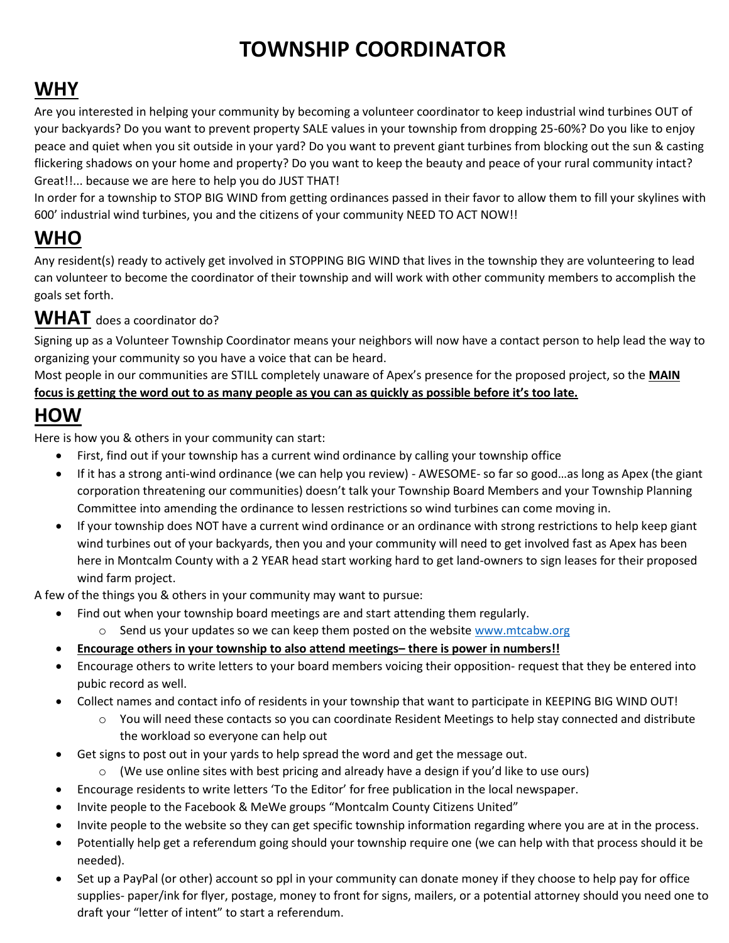### **TOWNSHIP COORDINATOR**

### **WHY**

Are you interested in helping your community by becoming a volunteer coordinator to keep industrial wind turbines OUT of your backyards? Do you want to prevent property SALE values in your township from dropping 25-60%? Do you like to enjoy peace and quiet when you sit outside in your yard? Do you want to prevent giant turbines from blocking out the sun & casting flickering shadows on your home and property? Do you want to keep the beauty and peace of your rural community intact? Great!!... because we are here to help you do JUST THAT!

In order for a township to STOP BIG WIND from getting ordinances passed in their favor to allow them to fill your skylines with 600' industrial wind turbines, you and the citizens of your community NEED TO ACT NOW!!

#### **WHO**

Any resident(s) ready to actively get involved in STOPPING BIG WIND that lives in the township they are volunteering to lead can volunteer to become the coordinator of their township and will work with other community members to accomplish the goals set forth.

#### **WHAT** does a coordinator do?

Signing up as a Volunteer Township Coordinator means your neighbors will now have a contact person to help lead the way to organizing your community so you have a voice that can be heard.

Most people in our communities are STILL completely unaware of Apex's presence for the proposed project, so the **MAIN focus is getting the word out to as many people as you can as quickly as possible before it's too late.** 

#### **HOW**

Here is how you & others in your community can start:

- First, find out if your township has a current wind ordinance by calling your township office
- If it has a strong anti-wind ordinance (we can help you review) AWESOME- so far so good…as long as Apex (the giant corporation threatening our communities) doesn't talk your Township Board Members and your Township Planning Committee into amending the ordinance to lessen restrictions so wind turbines can come moving in.
- If your township does NOT have a current wind ordinance or an ordinance with strong restrictions to help keep giant wind turbines out of your backyards, then you and your community will need to get involved fast as Apex has been here in Montcalm County with a 2 YEAR head start working hard to get land-owners to sign leases for their proposed wind farm project.

A few of the things you & others in your community may want to pursue:

- Find out when your township board meetings are and start attending them regularly.
	- $\circ$  Send us your updates so we can keep them posted on the website [www.mtcabw.org](http://www.mtcabw.org/)
- **Encourage others in your township to also attend meetings– there is power in numbers!!**
- Encourage others to write letters to your board members voicing their opposition- request that they be entered into pubic record as well.
- Collect names and contact info of residents in your township that want to participate in KEEPING BIG WIND OUT!
	- o You will need these contacts so you can coordinate Resident Meetings to help stay connected and distribute the workload so everyone can help out
- Get signs to post out in your yards to help spread the word and get the message out.
	- $\circ$  (We use online sites with best pricing and already have a design if you'd like to use ours)
- Encourage residents to write letters 'To the Editor' for free publication in the local newspaper.
- Invite people to the Facebook & MeWe groups "Montcalm County Citizens United"
- Invite people to the website so they can get specific township information regarding where you are at in the process.
- Potentially help get a referendum going should your township require one (we can help with that process should it be needed).
- Set up a PayPal (or other) account so ppl in your community can donate money if they choose to help pay for office supplies- paper/ink for flyer, postage, money to front for signs, mailers, or a potential attorney should you need one to draft your "letter of intent" to start a referendum.